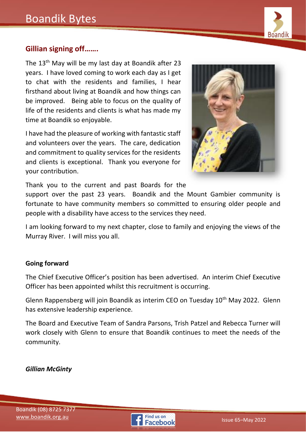# Boandik Bytes



# **Gillian signing off…….**

The 13<sup>th</sup> May will be my last day at Boandik after 23 years. I have loved coming to work each day as I get to chat with the residents and families, I hear firsthand about living at Boandik and how things can be improved. Being able to focus on the quality of life of the residents and clients is what has made my time at Boandik so enjoyable.

I have had the pleasure of working with fantastic staff and volunteers over the years. The care, dedication and commitment to quality services for the residents and clients is exceptional. Thank you everyone for your contribution.



Thank you to the current and past Boards for the

support over the past 23 years. Boandik and the Mount Gambier community is fortunate to have community members so committed to ensuring older people and people with a disability have access to the services they need.

I am looking forward to my next chapter, close to family and enjoying the views of the Murray River. I will miss you all.

#### **Going forward**

The Chief Executive Officer's position has been advertised. An interim Chief Executive Officer has been appointed whilst this recruitment is occurring.

Glenn Rappensberg will join Boandik as interim CEO on Tuesday 10<sup>th</sup> May 2022. Glenn has extensive leadership experience.

The Board and Executive Team of Sandra Parsons, Trish Patzel and Rebecca Turner will work closely with Glenn to ensure that Boandik continues to meet the needs of the community.

*Gillian McGinty*

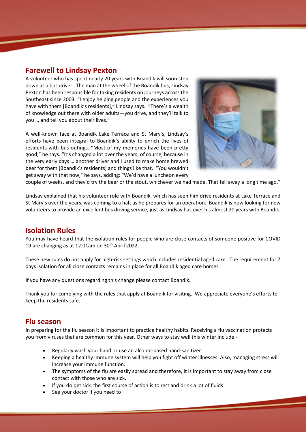#### **Farewell to Lindsay Pexton**

A volunteer who has spent nearly 20 years with Boandik will soon step down as a bus driver. The man at the wheel of the Boandik bus, Lindsay Pexton has been responsible for taking residents on journeys across the Southeast since 2003. "I enjoy helping people and the experiences you have with them [Boandik's residents]," Lindsay says. "There's a wealth of knowledge out there with older adults—you drive, and they'll talk to you … and tell you about their lives."

A well-known face at Boandik Lake Terrace and St Mary's, Lindsay's efforts have been integral to Boandik's ability to enrich the lives of residents with bus outings. "Most of my memories have been pretty good," he says. "It's changed a lot over the years, of course, because in the very early days … another driver and I used to make home brewed beer for them [Boandik's residents] and things like that. "You wouldn't get away with that now," he says, adding: "We'd have a luncheon every



couple of weeks, and they'd try the beer or the stout, whichever we had made. That fell away a long time ago."

Lindsay explained that his volunteer role with Boandik, which has seen him drive residents at Lake Terrace and St Mary's over the years, was coming to a halt as he prepares for an operation. Boandik is now looking for new volunteers to provide an excellent bus driving service, just as Lindsay has over his almost 20 years with Boandik.

#### **Isolation Rules**

You may have heard that the isolation rules for people who are close contacts of someone positive for COVID 19 are changing as at 12.01am on 30<sup>th</sup> April 2022.

These new rules do not apply for high-risk settings which includes residential aged care. The requirement for 7 days isolation for all close contacts remains in place for all Boandik aged care homes.

If you have any questions regarding this change please contact Boandik.

Thank you for complying with the rules that apply at Boandik for visiting. We appreciate everyone's efforts to keep the residents safe.

## **Flu season**

In preparing for the flu season it is important to practice healthy habits. Receiving a flu vaccination protects you from viruses that are common for this year. Other ways to stay well this winter include:-

- Regularly wash your hand or use an alcohol-based hand-sanitizer
- Keeping a healthy immune system will help you fight off winter illnesses. Also, managing stress will increase your immune function.
- The symptoms of the flu are easily spread and therefore, it is important to stay away from close contact with those who are sick.
- If you do get sick, the first course of action is to rest and drink a lot of fluids
- See your doctor if you need to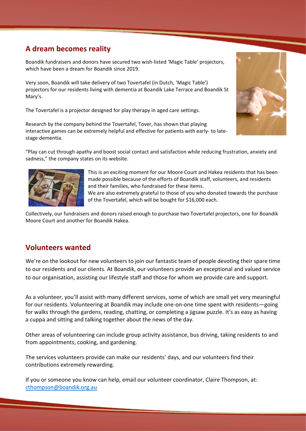## **A dream becomes reality**

Boandik fundraisers and donors have secured two wish-listed 'Magic Table' projectors, which have been a dream for Boandik since 2019.

Very soon, Boandik will take delivery of two Tovertafel (in Dutch, 'Magic Table') projectors for our residents living with dementia at Boandik Lake Terrace and Boandik St Mary's.

The Tovertafel is a projector designed for play therapy in aged care settings.

Research by the company behind the Tovertafel, Tover, has shown that playing interactive games can be extremely helpful and effective for patients with early- to latestage dementia.



"Play can cut through apathy and boost social contact and satisfaction while reducing frustration, anxiety and sadness," the company states on its website.



This is an exciting moment for our Moore Court and Hakea residents that has been made possible because of the efforts of Boandik staff, volunteers, and residents and their families, who fundraised for these items.

We are also extremely grateful to those of you who donated towards the purchase of the Tovertafel, which will be bought for \$16,000 each.

Collectively, our fundraisers and donors raised enough to purchase two Tovertafel projectors, one for Boandik Moore Court and another for Boandik Hakea.

## **Volunteers wanted**

We're on the lookout for new volunteers to join our fantastic team of people devoting their spare time to our residents and our clients. At Boandik, our volunteers provide an exceptional and valued service to our organisation, assisting our lifestyle staff and those for whom we provide care and support.

As a volunteer, you'll assist with many different services, some of which are small yet very meaningful for our residents. Volunteering at Boandik may include one-on-one time spent with residents—going for walks through the gardens, reading, chatting, or completing a jigsaw puzzle. It's as easy as having a cuppa and sitting and talking together about the news of the day.

Other areas of volunteering can include group activity assistance, bus driving, taking residents to and from appointments, cooking, and gardening.

The services volunteers provide can make our residents' days, and our volunteers find their contributions extremely rewarding.

If you or someone you know can help, email our volunteer coordinator, Claire Thompson, at: [cthompson@boandik.org.au](mailto:cthompson@boandik.org.au)